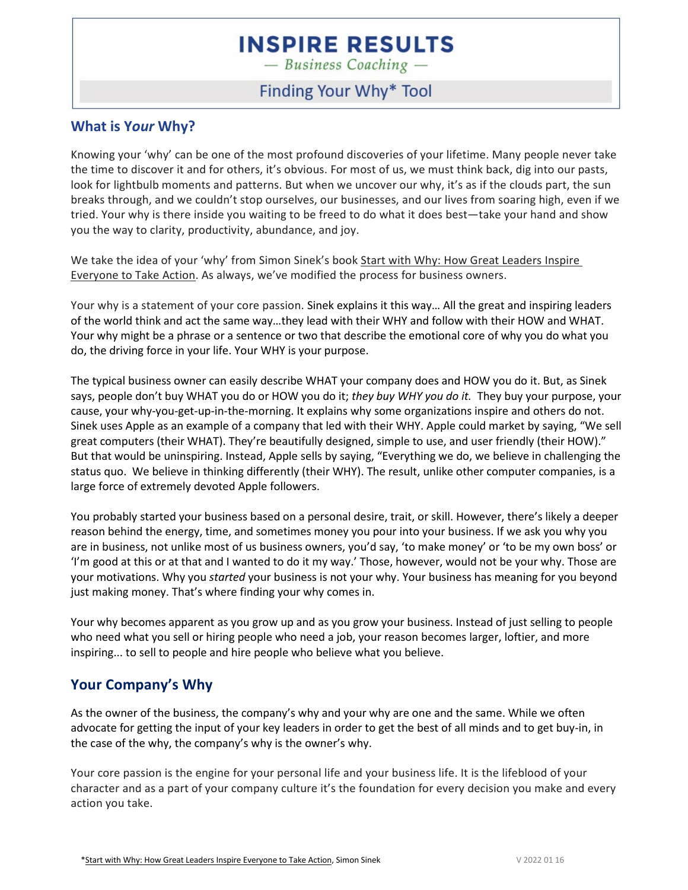$-$  Business Coaching  $-$ 

#### Finding Your Why\* Tool

#### **What is Y***our* **Why?**

Knowing your 'why' can be one of the most profound discoveries of your lifetime. Many people never take the time to discover it and for others, it's obvious. For most of us, we must think back, dig into our pasts, look for lightbulb moments and patterns. But when we uncover our why, it's as if the clouds part, the sun breaks through, and we couldn't stop ourselves, our businesses, and our lives from soaring high, even if we tried. Your why is there inside you waiting to be freed to do what it does best—take your hand and show you the way to clarity, productivity, abundance, and joy.

We take the idea of your 'why' from Simon Sinek's book Start with Why: How Great Leaders Inspire Everyone to Take Action. As always, we've modified the process for business owners.

Your why is a statement of your core passion. Sinek explains it this way… All the great and inspiring leaders of the world think and act the same way…they lead with their WHY and follow with their HOW and WHAT. Your why might be a phrase or a sentence or two that describe the emotional core of why you do what you do, the driving force in your life. Your WHY is your purpose.

The typical business owner can easily describe WHAT your company does and HOW you do it. But, as Sinek says, people don't buy WHAT you do or HOW you do it; *they buy WHY you do it.* They buy your purpose, your cause, your why-you-get-up-in-the-morning. It explains why some organizations inspire and others do not. Sinek uses Apple as an example of a company that led with their WHY. Apple could market by saying, "We sell great computers (their WHAT). They're beautifully designed, simple to use, and user friendly (their HOW)." But that would be uninspiring. Instead, Apple sells by saying, "Everything we do, we believe in challenging the status quo. We believe in thinking differently (their WHY). The result, unlike other computer companies, is a large force of extremely devoted Apple followers.

You probably started your business based on a personal desire, trait, or skill. However, there's likely a deeper reason behind the energy, time, and sometimes money you pour into your business. If we ask you why you are in business, not unlike most of us business owners, you'd say, 'to make money' or 'to be my own boss' or 'I'm good at this or at that and I wanted to do it my way.' Those, however, would not be your why. Those are your motivations. Why you *started* your business is not your why. Your business has meaning for you beyond just making money. That's where finding your why comes in.

Your why becomes apparent as you grow up and as you grow your business. Instead of just selling to people who need what you sell or hiring people who need a job, your reason becomes larger, loftier, and more inspiring... to sell to people and hire people who believe what you believe.

#### **Your Company's Why**

As the owner of the business, the company's why and your why are one and the same. While we often advocate for getting the input of your key leaders in order to get the best of all minds and to get buy-in, in the case of the why, the company's why is the owner's why.

Your core passion is the engine for your personal life and your business life. It is the lifeblood of your character and as a part of your company culture it's the foundation for every decision you make and every action you take.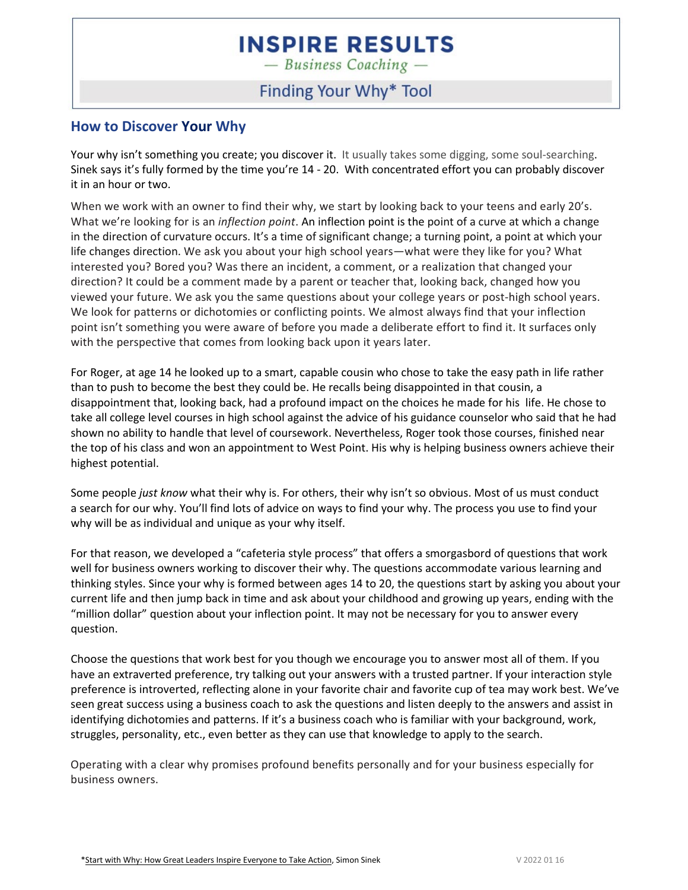$-$  Business Coaching  $-$ 

### Finding Your Why\* Tool

#### **How to Discover Your Why**

Your why isn't something you create; you discover it. It usually takes some digging, some soul-searching. Sinek says it's fully formed by the time you're 14 - 20. With concentrated effort you can probably discover it in an hour or two.

When we work with an owner to find their why, we start by looking back to your teens and early 20's. What we're looking for is an *inflection point*. An inflection point is the point of a curve at which a change in the direction of curvature occurs. It's a time of significant change; a turning point, a point at which your life changes direction. We ask you about your high school years—what were they like for you? What interested you? Bored you? Was there an incident, a comment, or a realization that changed your direction? It could be a comment made by a parent or teacher that, looking back, changed how you viewed your future. We ask you the same questions about your college years or post-high school years. We look for patterns or dichotomies or conflicting points. We almost always find that your inflection point isn't something you were aware of before you made a deliberate effort to find it. It surfaces only with the perspective that comes from looking back upon it years later.

For Roger, at age 14 he looked up to a smart, capable cousin who chose to take the easy path in life rather than to push to become the best they could be. He recalls being disappointed in that cousin, a disappointment that, looking back, had a profound impact on the choices he made for his life. He chose to take all college level courses in high school against the advice of his guidance counselor who said that he had shown no ability to handle that level of coursework. Nevertheless, Roger took those courses, finished near the top of his class and won an appointment to West Point. His why is helping business owners achieve their highest potential.

Some people *just know* what their why is. For others, their why isn't so obvious. Most of us must conduct a search for our why. You'll find lots of advice on ways to find your why. The process you use to find your why will be as individual and unique as your why itself.

For that reason, we developed a "cafeteria style process" that offers a smorgasbord of questions that work well for business owners working to discover their why. The questions accommodate various learning and thinking styles. Since your why is formed between ages 14 to 20, the questions start by asking you about your current life and then jump back in time and ask about your childhood and growing up years, ending with the "million dollar" question about your inflection point. It may not be necessary for you to answer every question.

Choose the questions that work best for you though we encourage you to answer most all of them. If you have an extraverted preference, try talking out your answers with a trusted partner. If your interaction style preference is introverted, reflecting alone in your favorite chair and favorite cup of tea may work best. We've seen great success using a business coach to ask the questions and listen deeply to the answers and assist in identifying dichotomies and patterns. If it's a business coach who is familiar with your background, work, struggles, personality, etc., even better as they can use that knowledge to apply to the search.

Operating with a clear why promises profound benefits personally and for your business especially for business owners.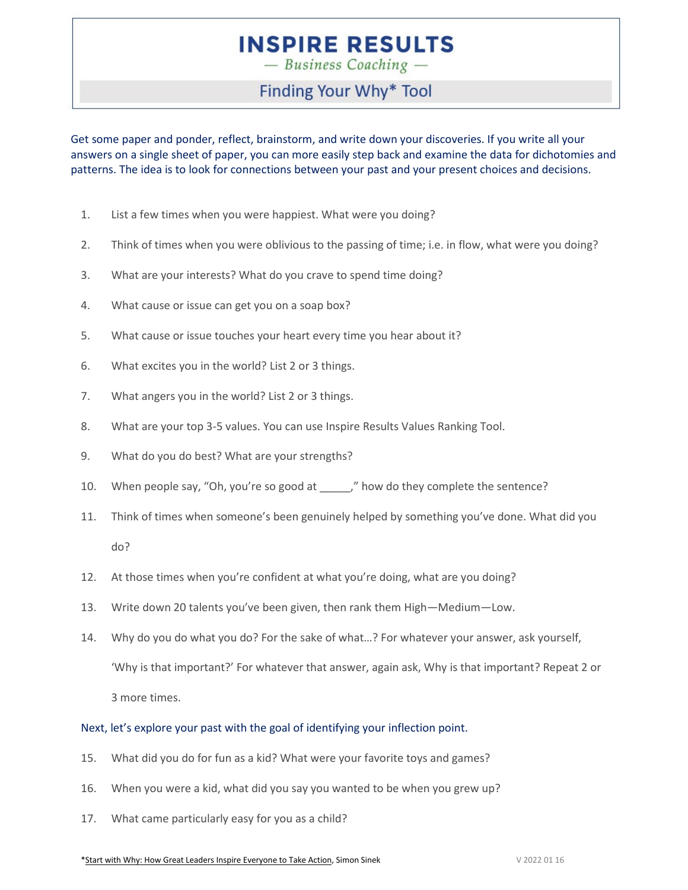$-$  Business Coaching  $-$ 

### Finding Your Why\* Tool

Get some paper and ponder, reflect, brainstorm, and write down your discoveries. If you write all your answers on a single sheet of paper, you can more easily step back and examine the data for dichotomies and patterns. The idea is to look for connections between your past and your present choices and decisions.

- 1. List a few times when you were happiest. What were you doing?
- 2. Think of times when you were oblivious to the passing of time; i.e. in flow, what were you doing?
- 3. What are your interests? What do you crave to spend time doing?
- 4. What cause or issue can get you on a soap box?
- 5. What cause or issue touches your heart every time you hear about it?
- 6. What excites you in the world? List 2 or 3 things.
- 7. What angers you in the world? List 2 or 3 things.
- 8. What are your top 3-5 values. You can use Inspire Results Values Ranking Tool.
- 9. What do you do best? What are your strengths?
- 10. When people say, "Oh, you're so good at \_\_\_\_\_," how do they complete the sentence?
- 11. Think of times when someone's been genuinely helped by something you've done. What did you do?
- 12. At those times when you're confident at what you're doing, what are you doing?
- 13. Write down 20 talents you've been given, then rank them High—Medium—Low.
- 14. Why do you do what you do? For the sake of what…? For whatever your answer, ask yourself, 'Why is that important?' For whatever that answer, again ask, Why is that important? Repeat 2 or 3 more times.

#### Next, let's explore your past with the goal of identifying your inflection point.

- 15. What did you do for fun as a kid? What were your favorite toys and games?
- 16. When you were a kid, what did you say you wanted to be when you grew up?
- 17. What came particularly easy for you as a child?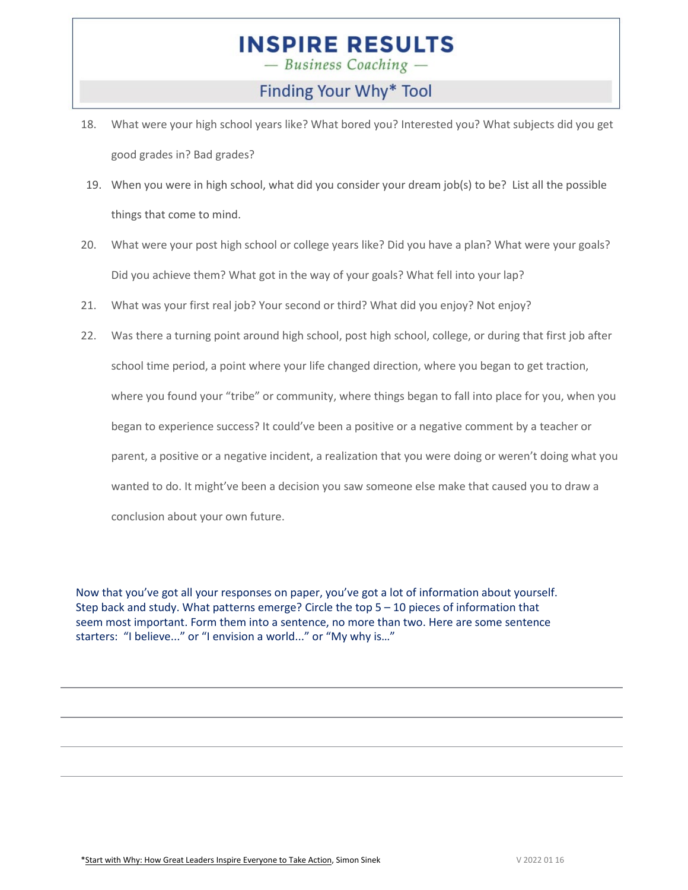$-$  Business Coaching  $-$ 

Finding Your Why\* Tool

- 18. What were your high school years like? What bored you? Interested you? What subjects did you get good grades in? Bad grades?
- 19. When you were in high school, what did you consider your dream job(s) to be? List all the possible things that come to mind.
- 20. What were your post high school or college years like? Did you have a plan? What were your goals? Did you achieve them? What got in the way of your goals? What fell into your lap?
- 21. What was your first real job? Your second or third? What did you enjoy? Not enjoy?
- 22. Was there a turning point around high school, post high school, college, or during that first job after school time period, a point where your life changed direction, where you began to get traction, where you found your "tribe" or community, where things began to fall into place for you, when you began to experience success? It could've been a positive or a negative comment by a teacher or parent, a positive or a negative incident, a realization that you were doing or weren't doing what you wanted to do. It might've been a decision you saw someone else make that caused you to draw a conclusion about your own future.

Now that you've got all your responses on paper, you've got a lot of information about yourself. Step back and study. What patterns emerge? Circle the top 5 – 10 pieces of information that seem most important. Form them into a sentence, no more than two. Here are some sentence starters: "I believe..." or "I envision a world..." or "My why is…"